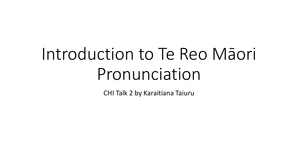# Introduction to Te Reo Māori Pronunciation

CHI Talk 2 by Karaitiana Taiuru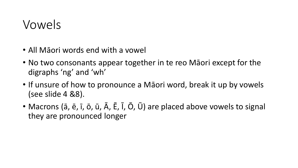#### Vowels

- All Māori words end with a vowel
- No two consonants appear together in te reo Māori except for the digraphs 'ng' and 'wh'
- If unsure of how to pronounce a Māori word, break it up by vowels (see slide 4 &8).
- Macrons (ā, ē, ī, ō, ū, Ā, Ē, Ī, Ō, Ū) are placed above vowels to signal they are pronounced longer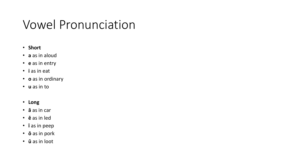#### Vowel Pronunciation

#### • **Short**

- **a** as in aloud
- **e** as in entry
- **i** as in eat
- **o** as in ordinary
- **u** as in to
- **Long**
- **ā** as in car
- **ē** as in led
- **ī** as in peep
- **ō** as in pork
- **ū** as in loot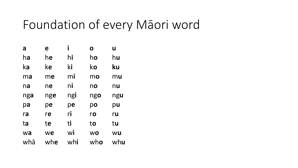#### Foundation of every Māori word

| a   | e   | I   | O         | U   |
|-----|-----|-----|-----------|-----|
| ha  | he  | hi  | ho        | hu  |
| ka  | ke  | ki  | ko        | ku  |
| ma  | me  | mi  | mo        | mu  |
| na  | ne  | ni  | no        | nu  |
| nga | nge | ngi | ngo       | ngu |
| pa  | pe  | pe  | po        | pu  |
| ra  | re  | ri  | ro        | ru  |
| ta  | te  | ti  | to        | tu  |
| wa  | we  | Wİ  | <b>WO</b> | WU  |
| whā | whe | whi | who       | whu |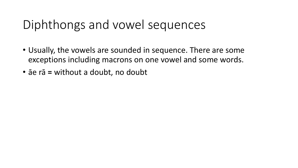#### Diphthongs and vowel sequences

- Usually, the vowels are sounded in sequence. There are some exceptions including macrons on one vowel and some words.
- āe rā **=** without a doubt, no doubt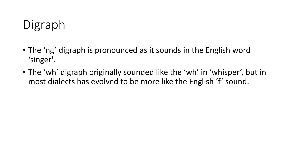## Digraph

- The 'ng' digraph is pronounced as it sounds in the English word 'singer'.
- The 'wh' digraph originally sounded like the 'wh' in 'whisper', but in most dialects has evolved to be more like the English 'f' sound.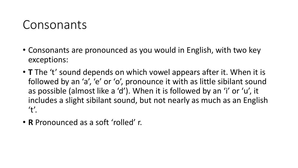#### Consonants

- Consonants are pronounced as you would in English, with two key exceptions:
- **T** The 't' sound depends on which vowel appears after it. When it is followed by an 'a', 'e' or 'o', pronounce it with as little sibilant sound as possible (almost like a 'd'). When it is followed by an 'i' or 'u', it includes a slight sibilant sound, but not nearly as much as an English  $'t'.$
- **R** Pronounced as a soft 'rolled' r.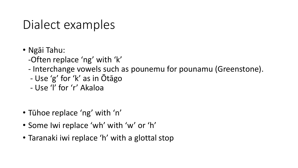#### Dialect examples

- Ngāi Tahu:
	- -Often replace 'ng' with 'k'
	- Interchange vowels such as pounemu for pounamu (Greenstone).
	- Use 'g' for 'k' as in Ōtāgo
	- Use 'l' for 'r' Akaloa
- Tūhoe replace 'ng' with 'n'
- Some Iwi replace 'wh' with 'w' or 'h'
- Taranaki iwi replace 'h' with a glottal stop